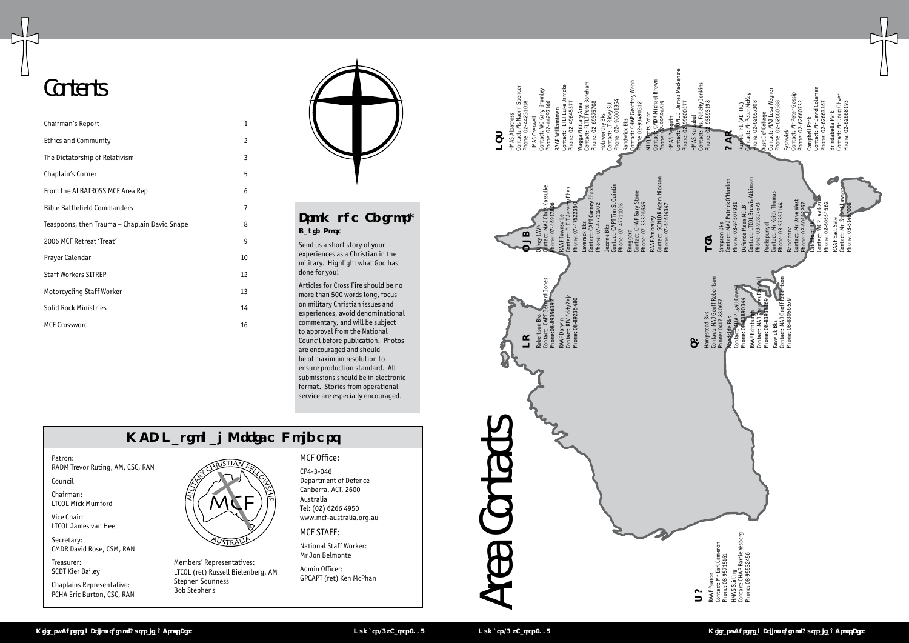## MCF National Office Holders

### MCF Office:

CP4-3-046 Department of Defence Canberra, ACT, 2600 Australia Tel: (02) 6266 4950 www.mcf-australia.org.au

MCF STAFF:

National Staff Worker: Mr Jon Belmonte

Admin Officer: GPCAPT (ret) Ken McPhan

Patron:

RADM Trevor Ruting, AM, CSC, RAN

Council

Chairman: LTCOL Mick Mumford

Vice Chair: LTCOL James van Heel

Secretary: CMDR David Rose, CSM, RAN

Treasurer: SCDT Kier Bailey

Chaplains Representative: PCHA Eric Burton, CSC, RAN



# **Contents**

| Chairman's Report                             | 1  |
|-----------------------------------------------|----|
| <b>Ethics and Community</b>                   | 2  |
| The Dictatorship of Relativism                | 3  |
| Chaplain's Corner                             | 5  |
| From the ALBATROSS MCF Area Rep               | 6  |
| <b>Bible Battlefield Commanders</b>           | 7  |
| Teaspoons, then Trauma – Chaplain David Snape | 8  |
| 2006 MCF Retreat 'Treat'                      | 9  |
| Prayer Calendar                               | 10 |
| <b>Staff Workers SITREP</b>                   | 12 |
| Motorcycling Staff Worker                     | 13 |
| Solid Rock Ministries                         | 14 |
| <b>MCF Crossword</b>                          | 16 |



Send us a short story of your experiences as a Christian in the military. Highlight what God has done for you!

Articles for Cross Fire should be no more than 500 words long, focus on military Christian issues and experiences, avoid denominational commentary, and will be subject to approval from the National Council before publication. Photos are encouraged and should be of maximum resolution to ensure production standard. All submissions should be in electronic format. Stories from operational service are especially encouraged.

## From the Editor, David Rose

Members' Representatives: LTCOL (ret) Russell Bielenberg, AM Stephen Sounness Bob Stephens



| Contact: Ms. Felicity Jenkins<br>Contact: Mr David Coleman<br>Contact: MAJ Lesa Wegner<br>Contact: Mr Peter McKay<br>Contact: Mr Peter Gossip<br>Contact: Mr Doug Oliver<br>Phone: 02-62660388<br>Phone: 02-93593198<br>Phone: 02-62657308<br>Phone: 02-62660732<br>Phone: 02-62668193<br>Phone: 02-62663367<br>Russell Hill (ADFHO)<br>Brindabella Park<br>Aust Def College<br>HMAS Kuttabul<br>Campbell Park<br>Fyshwick<br><b>ACT</b>          |  |
|---------------------------------------------------------------------------------------------------------------------------------------------------------------------------------------------------------------------------------------------------------------------------------------------------------------------------------------------------------------------------------------------------------------------------------------------------|--|
| Contact: LTCOL Brewis Atkinson<br>Contact: MAJ Patrick O'Hanlon<br>Contact: Mr. Stuart Lawson<br>Contact: Mr Keith Thomas<br>Contact: WO2 Fay Garve<br>Contact: Mr Dave West<br>Phone: 02-60554562<br>Phone: 03-92827673<br>Phone: 03-57357144<br>Phone: 02-60552257<br>Phone: 03-94507931<br>Phone: 03-51467008<br>Defence Plaza MELB<br>at childrend BMS<br>RAAF East Sale<br>Simpson Bks<br>Puckapunyal<br>Bandianna<br>$\frac{c}{\mathbf{v}}$ |  |
| Contact: MAJ Geoff Robertson<br>Contact: MAJ Geoff Robertson<br>RAAF Edinburgh<br>Contact: MAJ Douglas Randel<br>Contact: CHAP Lyall Cowel<br>Phone: 08-83933469<br>Phone: 08-83890344<br>Phone: 08-83056579<br>Phone: 0417-880657<br>Hampstead Bks<br><b>Noodside Bks</b><br>Keswick Bks<br>$\mathsf{S}$                                                                                                                                         |  |
|                                                                                                                                                                                                                                                                                                                                                                                                                                                   |  |
|                                                                                                                                                                                                                                                                                                                                                                                                                                                   |  |
| HMAS Stirling<br>Contact: CHAP Barrie Yesberg<br>Phone: 08-95532456<br>RAAF Pearce<br>Contact: Mr Earl Cameron<br>Phone: 08-95715161<br>⋚                                                                                                                                                                                                                                                                                                         |  |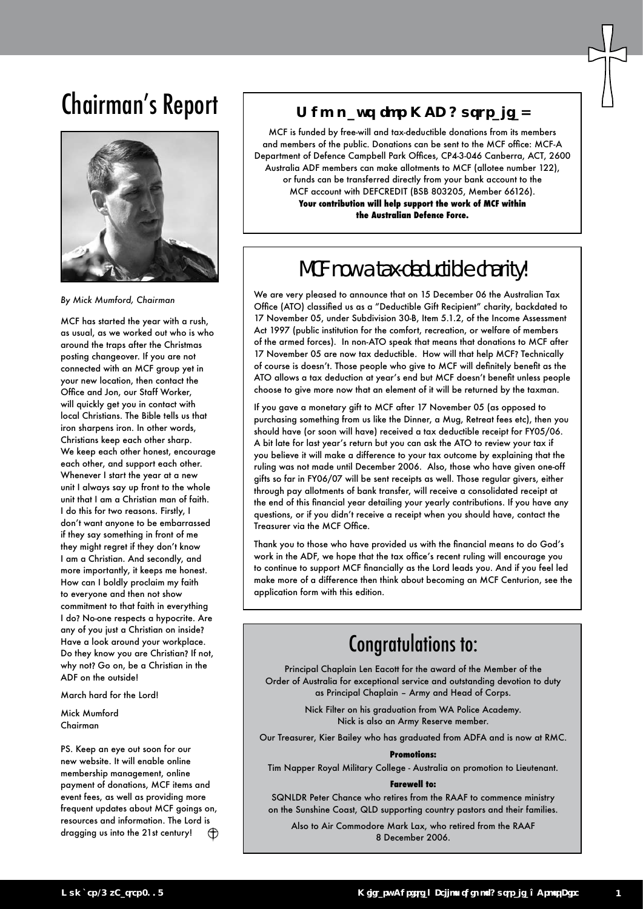# Chairman's Report



*By Mick Mumford, Chairman*

MCF has started the year with a rush, as usual, as we worked out who is who around the traps after the Christmas posting changeover. If you are not connected with an MCF group yet in your new location, then contact the Office and Jon, our Staff Worker, will quickly get you in contact with local Christians. The Bible tells us that iron sharpens iron. In other words, Christians keep each other sharp. We keep each other honest, encourage each other, and support each other. Whenever I start the year at a new unit I always say up front to the whole unit that I am a Christian man of faith. I do this for two reasons. Firstly, I don't want anyone to be embarrassed if they say something in front of me they might regret if they don't know I am a Christian. And secondly, and more importantly, it keeps me honest. How can I boldly proclaim my faith to everyone and then not show commitment to that faith in everything I do? No-one respects a hypocrite. Are any of you just a Christian on inside? Have a look around your workplace. Do they know you are Christian? If not, why not? Go on, be a Christian in the ADF on the outside!

March hard for the Lord!

Mick Mumford Chairman

PS. Keep an eye out soon for our new website. It will enable online membership management, online payment of donations, MCF items and event fees, as well as providing more frequent updates about MCF goings on, resources and information. The Lord is dragging us into the 21st century!

### Who pays for MCF Australia?

MCF is funded by free-will and tax-deductible donations from its members and members of the public. Donations can be sent to the MCF office: MCF-A Department of Defence Campbell Park Offices, CP4-3-046 Canberra, ACT, 2600 Australia ADF members can make allotments to MCF (allotee number 122), or funds can be transferred directly from your bank account to the MCF account with DEFCREDIT (BSB 803205, Member 66126). **Your contribution will help support the work of MCF within the Australian Defence Force.**

# MCF now a tax-deductible charity!

We are very pleased to announce that on 15 December 06 the Australian Tax Office (ATO) classified us as a "Deductible Gift Recipient" charity, backdated to 17 November 05, under Subdivision 30-B, Item 5.1.2, of the Income Assessment Act 1997 (public institution for the comfort, recreation, or welfare of members of the armed forces). In non-ATO speak that means that donations to MCF after 17 November 05 are now tax deductible. How will that help MCF? Technically of course is doesn't. Those people who give to MCF will definitely benefit as the ATO allows a tax deduction at year's end but MCF doesn't benefit unless people choose to give more now that an element of it will be returned by the taxman.

If you gave a monetary gift to MCF after 17 November 05 (as opposed to purchasing something from us like the Dinner, a Mug, Retreat fees etc), then you should have (or soon will have) received a tax deductible receipt for FY05/06. A bit late for last year's return but you can ask the ATO to review your tax if you believe it will make a difference to your tax outcome by explaining that the ruling was not made until December 2006. Also, those who have given one-off gifts so far in FY06/07 will be sent receipts as well. Those regular givers, either through pay allotments of bank transfer, will receive a consolidated receipt at the end of this financial year detailing your yearly contributions. If you have any questions, or if you didn't receive a receipt when you should have, contact the Treasurer via the MCF Office.

Thank you to those who have provided us with the financial means to do God's work in the ADF, we hope that the tax office's recent ruling will encourage you to continue to support MCF financially as the Lord leads you. And if you feel led make more of a difference then think about becoming an MCF Centurion, see the application form with this edition.

# Congratulations to:

Principal Chaplain Len Eacott for the award of the Member of the Order of Australia for exceptional service and outstanding devotion to duty as Principal Chaplain – Army and Head of Corps.

> Nick Filter on his graduation from WA Police Academy. Nick is also an Army Reserve member.

Our Treasurer, Kier Bailey who has graduated from ADFA and is now at RMC.

#### **Promotions:**

Tim Napper Royal Military College - Australia on promotion to Lieutenant.

#### **Farewell to:**

SQNLDR Peter Chance who retires from the RAAF to commence ministry on the Sunshine Coast, QLD supporting country pastors and their families.

Also to Air Commodore Mark Lax, who retired from the RAAF 8 December 2006.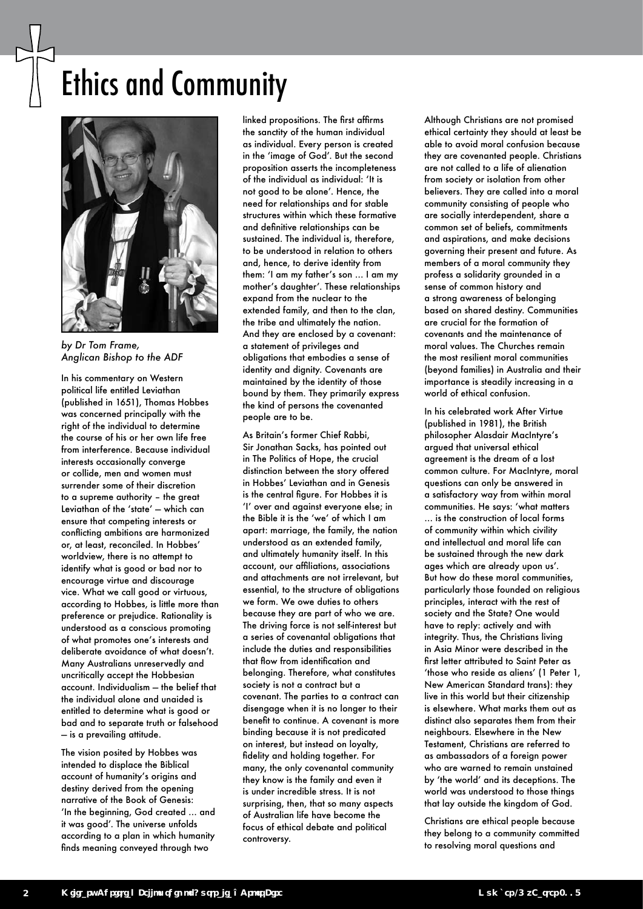# Ethics and Community



*by Dr Tom Frame, Anglican Bishop to the ADF*

In his commentary on Western political life entitled Leviathan (published in 1651), Thomas Hobbes was concerned principally with the right of the individual to determine the course of his or her own life free from interference. Because individual interests occasionally converge or collide, men and women must surrender some of their discretion to a supreme authority – the great Leviathan of the 'state' — which can ensure that competing interests or conflicting ambitions are harmonized or, at least, reconciled. In Hobbes' worldview, there is no attempt to identify what is good or bad nor to encourage virtue and discourage vice. What we call good or virtuous, according to Hobbes, is little more than preference or prejudice. Rationality is understood as a conscious promoting of what promotes one's interests and deliberate avoidance of what doesn't. Many Australians unreservedly and uncritically accept the Hobbesian account. Individualism — the belief that the individual alone and unaided is entitled to determine what is good or bad and to separate truth or falsehood — is a prevailing attitude.

The vision posited by Hobbes was intended to displace the Biblical account of humanity's origins and destiny derived from the opening narrative of the Book of Genesis: 'In the beginning, God created … and it was good'. The universe unfolds according to a plan in which humanity finds meaning conveyed through two

linked propositions. The first affirms the sanctity of the human individual as individual. Every person is created in the 'image of God'. But the second proposition asserts the incompleteness of the individual as individual: 'It is not good to be alone'. Hence, the need for relationships and for stable structures within which these formative and definitive relationships can be sustained. The individual is, therefore, to be understood in relation to others and, hence, to derive identity from them: 'I am my father's son … I am my mother's daughter'. These relationships expand from the nuclear to the extended family, and then to the clan, the tribe and ultimately the nation. And they are enclosed by a covenant: a statement of privileges and obligations that embodies a sense of identity and dignity. Covenants are maintained by the identity of those bound by them. They primarily express the kind of persons the covenanted people are to be.

As Britain's former Chief Rabbi, Sir Jonathan Sacks, has pointed out in The Politics of Hope, the crucial distinction between the story offered in Hobbes' Leviathan and in Genesis is the central figure. For Hobbes it is 'I' over and against everyone else; in the Bible it is the 'we' of which I am apart: marriage, the family, the nation understood as an extended family, and ultimately humanity itself. In this account, our affiliations, associations and attachments are not irrelevant, but essential, to the structure of obligations we form. We owe duties to others because they are part of who we are. The driving force is not self-interest but a series of covenantal obligations that include the duties and responsibilities that flow from identification and belonging. Therefore, what constitutes society is not a contract but a covenant. The parties to a contract can disengage when it is no longer to their benefit to continue. A covenant is more binding because it is not predicated on interest, but instead on loyalty, fidelity and holding together. For many, the only covenantal community they know is the family and even it is under incredible stress. It is not surprising, then, that so many aspects of Australian life have become the focus of ethical debate and political controversy.

Although Christians are not promised ethical certainty they should at least be able to avoid moral confusion because they are covenanted people. Christians are not called to a life of alienation from society or isolation from other believers. They are called into a moral community consisting of people who are socially interdependent, share a common set of beliefs, commitments and aspirations, and make decisions governing their present and future. As members of a moral community they profess a solidarity grounded in a sense of common history and a strong awareness of belonging based on shared destiny. Communities are crucial for the formation of covenants and the maintenance of moral values. The Churches remain the most resilient moral communities (beyond families) in Australia and their importance is steadily increasing in a world of ethical confusion.

In his celebrated work After Virtue (published in 1981), the British philosopher Alasdair MacIntyre's argued that universal ethical agreement is the dream of a lost common culture. For MacIntyre, moral questions can only be answered in a satisfactory way from within moral communities. He says: 'what matters … is the construction of local forms of community within which civility and intellectual and moral life can be sustained through the new dark ages which are already upon us'. But how do these moral communities, particularly those founded on religious principles, interact with the rest of society and the State? One would have to reply: actively and with integrity. Thus, the Christians living in Asia Minor were described in the first letter attributed to Saint Peter as 'those who reside as aliens' (1 Peter 1, New American Standard trans): they live in this world but their citizenship is elsewhere. What marks them out as distinct also separates them from their neighbours. Elsewhere in the New Testament, Christians are referred to as ambassadors of a foreign power who are warned to remain unstained by 'the world' and its deceptions. The world was understood to those things that lay outside the kingdom of God.

Christians are ethical people because they belong to a community committed to resolving moral questions and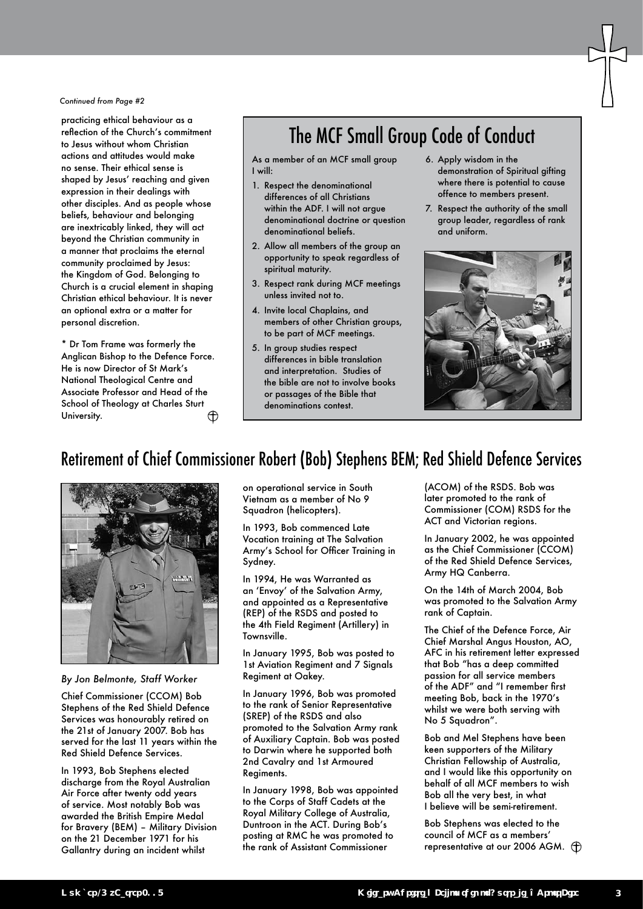#### *Continued from Page #2*

practicing ethical behaviour as a reflection of the Church's commitment to Jesus without whom Christian actions and attitudes would make no sense. Their ethical sense is shaped by Jesus' reaching and given expression in their dealings with other disciples. And as people whose beliefs, behaviour and belonging are inextricably linked, they will act beyond the Christian community in a manner that proclaims the eternal community proclaimed by Jesus: the Kingdom of God. Belonging to Church is a crucial element in shaping Christian ethical behaviour. It is never an optional extra or a matter for personal discretion.

\* Dr Tom Frame was formerly the Anglican Bishop to the Defence Force. He is now Director of St Mark's National Theological Centre and Associate Professor and Head of the School of Theology at Charles Sturt ⊕ University.

# The MCF Small Group Code of Conduct

As a member of an MCF small group I will:

- 1. Respect the denominational differences of all Christians within the ADF. I will not argue denominational doctrine or question denominational beliefs.
- 2. Allow all members of the group an opportunity to speak regardless of spiritual maturity.
- 3. Respect rank during MCF meetings unless invited not to.
- 4. Invite local Chaplains, and members of other Christian groups, to be part of MCF meetings.
- 5. In group studies respect differences in bible translation and interpretation. Studies of the bible are not to involve books or passages of the Bible that denominations contest.
- 6. Apply wisdom in the demonstration of Spiritual gifting where there is potential to cause offence to members present.
- 7. Respect the authority of the small group leader, regardless of rank and uniform.



## Retirement of Chief Commissioner Robert (Bob) Stephens BEM; Red Shield Defence Services



#### *By Jon Belmonte, Staff Worker*

Chief Commissioner (CCOM) Bob Stephens of the Red Shield Defence Services was honourably retired on the 21st of January 2007. Bob has served for the last 11 years within the Red Shield Defence Services.

In 1993, Bob Stephens elected discharge from the Royal Australian Air Force after twenty odd years of service. Most notably Bob was awarded the British Empire Medal for Bravery (BEM) – Military Division on the 21 December 1971 for his Gallantry during an incident whilst

on operational service in South Vietnam as a member of No 9 Squadron (helicopters).

In 1993, Bob commenced Late Vocation training at The Salvation Army's School for Officer Training in Sydney.

In 1994, He was Warranted as an 'Envoy' of the Salvation Army, and appointed as a Representative (REP) of the RSDS and posted to the 4th Field Regiment (Artillery) in Townsville.

In January 1995, Bob was posted to 1st Aviation Regiment and 7 Signals Regiment at Oakey.

In January 1996, Bob was promoted to the rank of Senior Representative (SREP) of the RSDS and also promoted to the Salvation Army rank of Auxiliary Captain. Bob was posted to Darwin where he supported both 2nd Cavalry and 1st Armoured Regiments.

In January 1998, Bob was appointed to the Corps of Staff Cadets at the Royal Military College of Australia, Duntroon in the ACT. During Bob's posting at RMC he was promoted to the rank of Assistant Commissioner

(ACOM) of the RSDS. Bob was later promoted to the rank of Commissioner (COM) RSDS for the ACT and Victorian regions.

In January 2002, he was appointed as the Chief Commissioner (CCOM) of the Red Shield Defence Services, Army HQ Canberra.

On the 14th of March 2004, Bob was promoted to the Salvation Army rank of Captain.

The Chief of the Defence Force, Air Chief Marshal Angus Houston, AO, AFC in his retirement letter expressed that Bob "has a deep committed passion for all service members of the ADF" and "I remember first meeting Bob, back in the 1970's whilst we were both serving with No 5 Squadron".

Bob and Mel Stephens have been keen supporters of the Military Christian Fellowship of Australia, and I would like this opportunity on behalf of all MCF members to wish Bob all the very best, in what I believe will be semi-retirement.

Bob Stephens was elected to the council of MCF as a members' representative at our 2006 AGM.  $\bigoplus$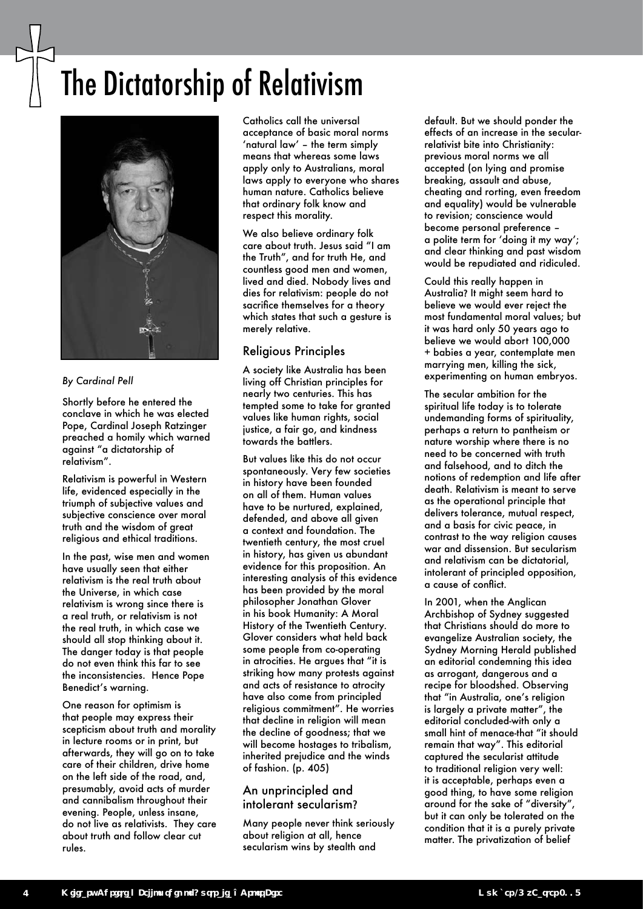# The Dictatorship of Relativism



#### *By Cardinal Pell*

Shortly before he entered the conclave in which he was elected Pope, Cardinal Joseph Ratzinger preached a homily which warned against "a dictatorship of relativism".

Relativism is powerful in Western life, evidenced especially in the triumph of subjective values and subjective conscience over moral truth and the wisdom of great religious and ethical traditions.

In the past, wise men and women have usually seen that either relativism is the real truth about the Universe, in which case relativism is wrong since there is a real truth, or relativism is not the real truth, in which case we should all stop thinking about it. The danger today is that people do not even think this far to see the inconsistencies. Hence Pope Benedict's warning.

One reason for optimism is that people may express their scepticism about truth and morality in lecture rooms or in print, but afterwards, they will go on to take care of their children, drive home on the left side of the road, and, presumably, avoid acts of murder and cannibalism throughout their evening. People, unless insane, do not live as relativists. They care about truth and follow clear cut rules.

Catholics call the universal acceptance of basic moral norms 'natural law' – the term simply means that whereas some laws apply only to Australians, moral laws apply to everyone who shares human nature. Catholics believe that ordinary folk know and respect this morality.

We also believe ordinary folk care about truth. Jesus said "I am the Truth", and for truth He, and countless good men and women, lived and died. Nobody lives and dies for relativism: people do not sacrifice themselves for a theory which states that such a gesture is merely relative.

#### Religious Principles

A society like Australia has been living off Christian principles for nearly two centuries. This has tempted some to take for granted values like human rights, social justice, a fair go, and kindness towards the battlers.

But values like this do not occur spontaneously. Very few societies in history have been founded on all of them. Human values have to be nurtured, explained, defended, and above all given a context and foundation. The twentieth century, the most cruel in history, has given us abundant evidence for this proposition. An interesting analysis of this evidence has been provided by the moral philosopher Jonathan Glover in his book Humanity: A Moral History of the Twentieth Century. Glover considers what held back some people from co-operating in atrocities. He argues that "it is striking how many protests against and acts of resistance to atrocity have also come from principled religious commitment". He worries that decline in religion will mean the decline of goodness; that we will become hostages to tribalism, inherited prejudice and the winds of fashion. (p. 405)

#### An unprincipled and intolerant secularism?

Many people never think seriously about religion at all, hence secularism wins by stealth and

default. But we should ponder the effects of an increase in the secularrelativist bite into Christianity: previous moral norms we all accepted (on lying and promise breaking, assault and abuse, cheating and rorting, even freedom and equality) would be vulnerable to revision; conscience would become personal preference – a polite term for 'doing it my way'; and clear thinking and past wisdom would be repudiated and ridiculed.

Could this really happen in Australia? It might seem hard to believe we would ever reject the most fundamental moral values; but it was hard only 50 years ago to believe we would abort 100,000 + babies a year, contemplate men marrying men, killing the sick, experimenting on human embryos.

The secular ambition for the spiritual life today is to tolerate undemanding forms of spirituality, perhaps a return to pantheism or nature worship where there is no need to be concerned with truth and falsehood, and to ditch the notions of redemption and life after death. Relativism is meant to serve as the operational principle that delivers tolerance, mutual respect, and a basis for civic peace, in contrast to the way religion causes war and dissension. But secularism and relativism can be dictatorial, intolerant of principled opposition, a cause of conflict.

In 2001, when the Anglican Archbishop of Sydney suggested that Christians should do more to evangelize Australian society, the Sydney Morning Herald published an editorial condemning this idea as arrogant, dangerous and a recipe for bloodshed. Observing that "in Australia, one's religion is largely a private matter", the editorial concluded-with only a small hint of menace-that "it should remain that way". This editorial captured the secularist attitude to traditional religion very well: it is acceptable, perhaps even a good thing, to have some religion around for the sake of "diversity", but it can only be tolerated on the condition that it is a purely private matter. The privatization of belief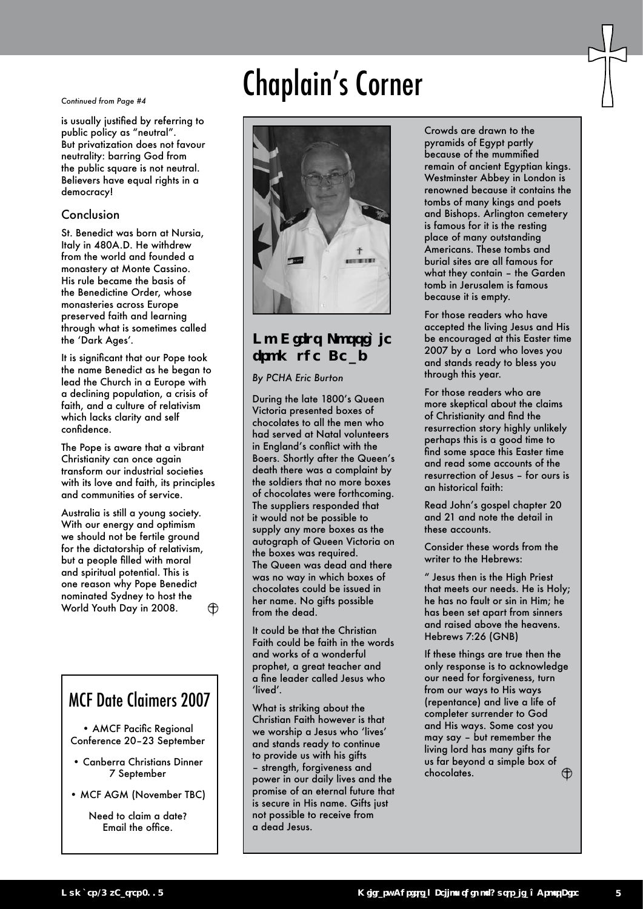#### *Continued from Page #4*

is usually justified by referring to public policy as "neutral". But privatization does not favour neutrality: barring God from the public square is not neutral. Believers have equal rights in a democracy!

#### Conclusion

St. Benedict was born at Nursia, Italy in 480A.D. He withdrew from the world and founded a monastery at Monte Cassino. His rule became the basis of the Benedictine Order, whose monasteries across Europe preserved faith and learning through what is sometimes called the 'Dark Ages'.

It is significant that our Pope took the name Benedict as he began to lead the Church in a Europe with a declining population, a crisis of faith, and a culture of relativism which lacks clarity and self confidence.

The Pope is aware that a vibrant Christianity can once again transform our industrial societies with its love and faith, its principles and communities of service.

Australia is still a young society. With our energy and optimism we should not be fertile ground for the dictatorship of relativism, but a people filled with moral and spiritual potential. This is one reason why Pope Benedict nominated Sydney to host the World Youth Day in 2008. ⊕

## MCF Date Claimers 2007

- AMCF Pacific Regional Conference 20–23 September
- Canberra Christians Dinner 7 September
- MCF AGM (November TBC)

Need to claim a date? Email the office.

# Chaplain's Corner



### No Gifts Possible from the Dead

*By PCHA Eric Burton*

During the late 1800's Queen Victoria presented boxes of chocolates to all the men who had served at Natal volunteers in England's conflict with the Boers. Shortly after the Queen's death there was a complaint by the soldiers that no more boxes of chocolates were forthcoming. The suppliers responded that it would not be possible to supply any more boxes as the autograph of Queen Victoria on the boxes was required. The Queen was dead and there was no way in which boxes of chocolates could be issued in her name. No gifts possible from the dead.

It could be that the Christian Faith could be faith in the words and works of a wonderful prophet, a great teacher and a fine leader called Jesus who 'lived'.

What is striking about the Christian Faith however is that we worship a Jesus who 'lives' and stands ready to continue to provide us with his gifts – strength, forgiveness and power in our daily lives and the promise of an eternal future that is secure in His name. Gifts just not possible to receive from a dead Jesus.

Crowds are drawn to the pyramids of Egypt partly because of the mummified remain of ancient Egyptian kings. Westminster Abbey in London is renowned because it contains the tombs of many kings and poets and Bishops. Arlington cemetery is famous for it is the resting place of many outstanding Americans. These tombs and burial sites are all famous for what they contain – the Garden tomb in Jerusalem is famous because it is empty.

For those readers who have accepted the living Jesus and His be encouraged at this Easter time 2007 by a Lord who loves you and stands ready to bless you through this year.

For those readers who are more skeptical about the claims of Christianity and find the resurrection story highly unlikely perhaps this is a good time to find some space this Easter time and read some accounts of the resurrection of Jesus – for ours is an historical faith:

Read John's gospel chapter 20 and 21 and note the detail in these accounts.

Consider these words from the writer to the Hebrews:

" Jesus then is the High Priest that meets our needs. He is Holy; he has no fault or sin in Him; he has been set apart from sinners and raised above the heavens. Hebrews 7:26 (GNB)

If these things are true then the only response is to acknowledge our need for forgiveness, turn from our ways to His ways (repentance) and live a life of completer surrender to God and His ways. Some cost you may say – but remember the living lord has many gifts for us far beyond a simple box of  $\oplus$ chocolates.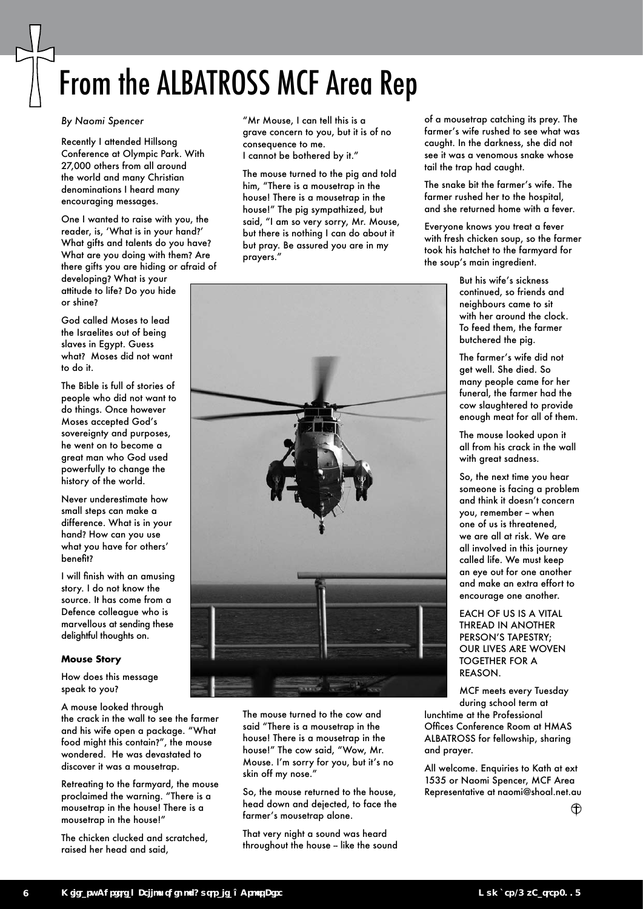# From the ALBATROSS MCF Area Rep

#### *By Naomi Spencer*

Recently I attended Hillsong Conference at Olympic Park. With 27,000 others from all around the world and many Christian denominations I heard many encouraging messages.

One I wanted to raise with you, the reader, is, 'What is in your hand?' What gifts and talents do you have? What are you doing with them? Are there gifts you are hiding or afraid of

developing? What is your attitude to life? Do you hide or shine?

God called Moses to lead the Israelites out of being slaves in Egypt. Guess what? Moses did not want to do it.

The Bible is full of stories of people who did not want to do things. Once however Moses accepted God's sovereignty and purposes, he went on to become a great man who God used powerfully to change the history of the world.

Never underestimate how small steps can make a difference. What is in your hand? How can you use what you have for others' benefit?

I will finish with an amusing story. I do not know the source. It has come from a Defence colleague who is marvellous at sending these delightful thoughts on.

#### **Mouse Story**

How does this message speak to you?

A mouse looked through the crack in the wall to see the farmer and his wife open a package. "What food might this contain?", the mouse wondered. He was devastated to discover it was a mousetrap.

Retreating to the farmyard, the mouse proclaimed the warning. "There is a mousetrap in the house! There is a mousetrap in the house!"

The chicken clucked and scratched, raised her head and said,

"Mr Mouse, I can tell this is a grave concern to you, but it is of no consequence to me. I cannot be bothered by it."

The mouse turned to the pig and told him, "There is a mousetrap in the house! There is a mousetrap in the house!" The pig sympathized, but said, "I am so very sorry, Mr. Mouse, but there is nothing I can do about it but pray. Be assured you are in my prayers."



The mouse turned to the cow and said "There is a mousetrap in the house! There is a mousetrap in the house!" The cow said, "Wow, Mr. Mouse. I'm sorry for you, but it's no skin off my nose."

So, the mouse returned to the house, head down and dejected, to face the farmer's mousetrap alone.

That very night a sound was heard throughout the house - like the sound of a mousetrap catching its prey. The farmer's wife rushed to see what was caught. In the darkness, she did not see it was a venomous snake whose tail the trap had caught.

The snake bit the farmer's wife. The farmer rushed her to the hospital, and she returned home with a fever.

Everyone knows you treat a fever with fresh chicken soup, so the farmer took his hatchet to the farmyard for the soup's main ingredient.

> But his wife's sickness continued, so friends and neighbours came to sit with her around the clock. To feed them, the farmer butchered the pig.

The farmer's wife did not get well. She died. So many people came for her funeral, the farmer had the cow slaughtered to provide enough meat for all of them.

The mouse looked upon it all from his crack in the wall with great sadness.

So, the next time you hear someone is facing a problem and think it doesn't concern you, remember -- when one of us is threatened, we are all at risk. We are all involved in this journey called life. We must keep an eye out for one another and make an extra effort to encourage one another.

EACH OF US IS A VITAL THREAD IN ANOTHER PERSON'S TAPESTRY; OUR LIVES ARE WOVEN TOGETHER FOR A REASON.

MCF meets every Tuesday during school term at lunchtime at the Professional Offices Conference Room at HMAS ALBATROSS for fellowship, sharing

All welcome. Enquiries to Kath at ext 1535 or Naomi Spencer, MCF Area Representative at naomi@shoal.net.au

and prayer.

⊕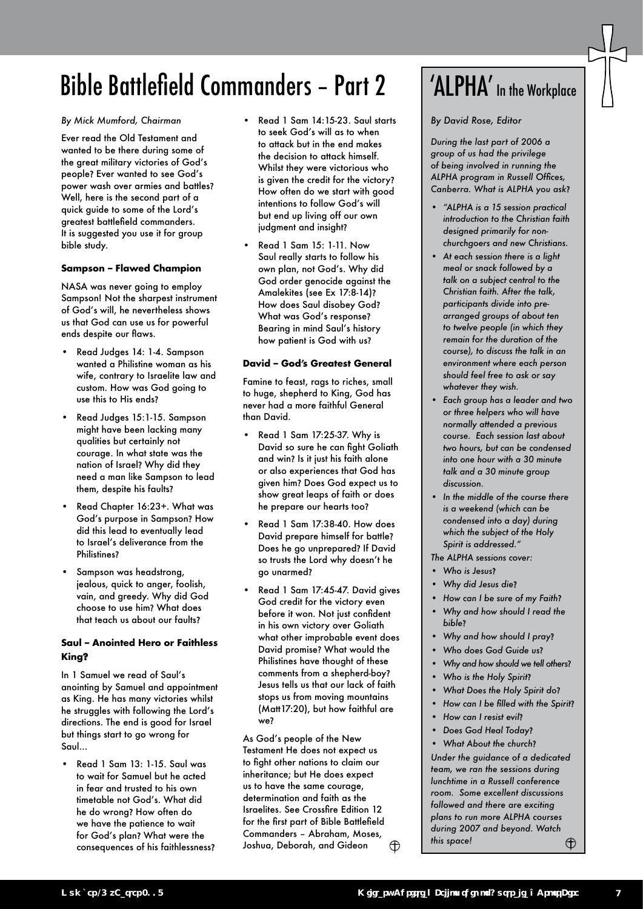# Bible Battlefield Commanders – Part 2

#### *By Mick Mumford, Chairman*

Ever read the Old Testament and wanted to be there during some of the great military victories of God's people? Ever wanted to see God's power wash over armies and battles? Well, here is the second part of a quick guide to some of the Lord's greatest battlefield commanders. It is suggested you use it for group bible study.

#### **Sampson – Flawed Champion**

NASA was never going to employ Sampson! Not the sharpest instrument of God's will, he nevertheless shows us that God can use us for powerful ends despite our flaws.

- Read Judges 14: 1-4. Sampson wanted a Philistine woman as his wife, contrary to Israelite law and custom. How was God going to use this to His ends?
- Read Judges 15:1-15. Sampson might have been lacking many qualities but certainly not courage. In what state was the nation of Israel? Why did they need a man like Sampson to lead them, despite his faults?
- Read Chapter 16:23+. What was God's purpose in Sampson? How did this lead to eventually lead to Israel's deliverance from the Philistines?
- Sampson was headstrong, jealous, quick to anger, foolish, vain, and greedy. Why did God choose to use him? What does that teach us about our faults?

#### **Saul – Anointed Hero or Faithless King?**

In 1 Samuel we read of Saul's anointing by Samuel and appointment as King. He has many victories whilst he struggles with following the Lord's directions. The end is good for Israel but things start to go wrong for Saul...

• Read 1 Sam 13: 1-15. Saul was to wait for Samuel but he acted in fear and trusted to his own timetable not God's. What did he do wrong? How often do we have the patience to wait for God's plan? What were the consequences of his faithlessness?

- Read 1 Sam 14:15-23. Saul starts to seek God's will as to when to attack but in the end makes the decision to attack himself. Whilst they were victorious who is given the credit for the victory? How often do we start with good intentions to follow God's will but end up living off our own judgment and insight?
- Read 1 Sam 15: 1-11. Now Saul really starts to follow his own plan, not God's. Why did God order genocide against the Amalekites (see Ex 17:8-14)? How does Saul disobey God? What was God's response? Bearing in mind Saul's history how patient is God with us?

#### **David – God's Greatest General**

Famine to feast, rags to riches, small to huge, shepherd to King, God has never had a more faithful General than David.

- Read 1 Sam 17:25-37. Why is David so sure he can fight Goliath and win? Is it just his faith alone or also experiences that God has given him? Does God expect us to show great leaps of faith or does he prepare our hearts too?
- Read 1 Sam 17:38-40. How does David prepare himself for battle? Does he go unprepared? If David so trusts the Lord why doesn't he go unarmed?
- Read 1 Sam 17:45-47. David gives God credit for the victory even before it won. Not just confident in his own victory over Goliath what other improbable event does David promise? What would the Philistines have thought of these comments from a shepherd-boy? Jesus tells us that our lack of faith stops us from moving mountains (Matt17:20), but how faithful are we?

As God's people of the New Testament He does not expect us to fight other nations to claim our inheritance; but He does expect us to have the same courage, determination and faith as the Israelites. See Crossfire Edition 12 for the first part of Bible Battlefield Commanders – Abraham, Moses, Joshua, Deborah, and Gideon ⊕

# 'ALPHA' In the Workplace

#### *By David Rose, Editor*

*During the last part of 2006 a group of us had the privilege of being involved in running the ALPHA program in Russell Offices, Canberra. What is ALPHA you ask*?

- *• "ALPHA is a 15 session practical introduction to the Christian faith designed primarily for nonchurchgoers and new Christians.*
- *• At each session there is a light meal or snack followed by a talk on a subject central to the Christian faith. After the talk, participants divide into prearranged groups of about ten to twelve people (in which they remain for the duration of the course), to discuss the talk in an environment where each person should feel free to ask or say whatever they wish.*
- *• Each group has a leader and two or three helpers who will have normally attended a previous course. Each session last about two hours, but can be condensed into one hour with a 30 minute talk and a 30 minute group discussion.*
- *• In the middle of the course there is a weekend (which can be condensed into a day) during which the subject of the Holy Spirit is addressed."*

*The ALPHA sessions cover:*

- *• Who is Jesus*?
- *• Why did Jesus die*?
- *• How can I be sure of my Faith*?
- *• Why and how should I read the bible*?
- *• Why and how should I pray*?
- *• Who does God Guide us*?
- *• Why and how should we tell others*?
- *• Who is the Holy Spirit*?
- *• What Does the Holy Spirit do*?
- *• How can I be filled with the Spirit*?
- *• How can I resist evil*?
- *• Does God Heal Today*?
- *• What About the church*?

*Under the guidance of a dedicated team, we ran the sessions during lunchtime in a Russell conference room. Some excellent discussions followed and there are exciting plans to run more ALPHA courses during 2007 and beyond. Watch this space!*  $\bigoplus$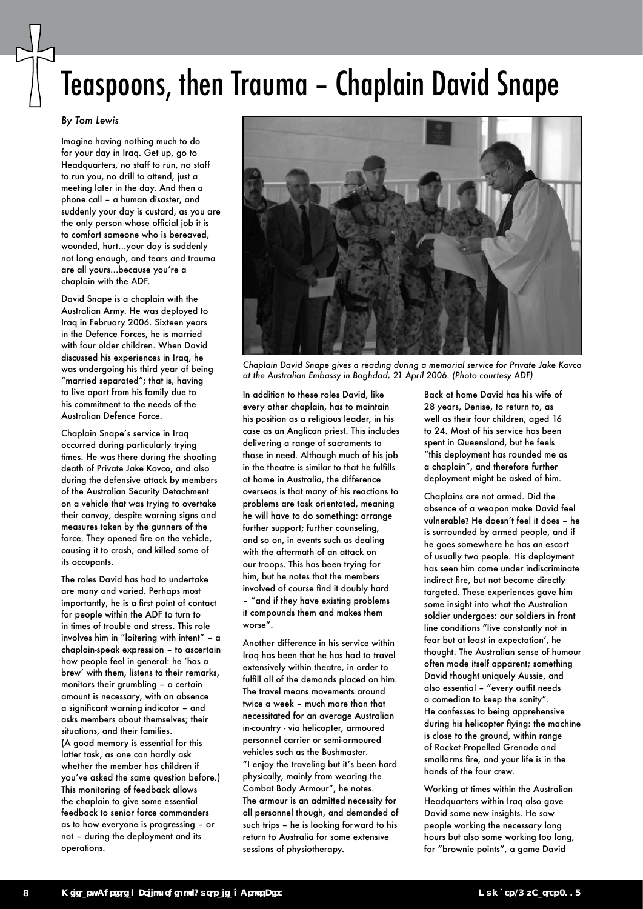# Teaspoons, then Trauma – Chaplain David Snape

#### *By Tom Lewis*

Imagine having nothing much to do for your day in Iraq. Get up, go to Headquarters, no staff to run, no staff to run you, no drill to attend, just a meeting later in the day. And then a phone call – a human disaster, and suddenly your day is custard, as you are the only person whose official job it is to comfort someone who is bereaved, wounded, hurt…your day is suddenly not long enough, and tears and trauma are all yours…because you're a chaplain with the ADF.

David Snape is a chaplain with the Australian Army. He was deployed to Iraq in February 2006. Sixteen years in the Defence Forces, he is married with four older children. When David discussed his experiences in Iraq, he was undergoing his third year of being "married separated"; that is, having to live apart from his family due to his commitment to the needs of the Australian Defence Force.

Chaplain Snape's service in Iraq occurred during particularly trying times. He was there during the shooting death of Private Jake Kovco, and also during the defensive attack by members of the Australian Security Detachment on a vehicle that was trying to overtake their convoy, despite warning signs and measures taken by the gunners of the force. They opened fire on the vehicle, causing it to crash, and killed some of its occupants.

The roles David has had to undertake are many and varied. Perhaps most importantly, he is a first point of contact for people within the ADF to turn to in times of trouble and stress. This role involves him in "loitering with intent" – a chaplain-speak expression – to ascertain how people feel in general: he 'has a brew' with them, listens to their remarks, monitors their grumbling – a certain amount is necessary, with an absence a significant warning indicator – and asks members about themselves; their situations, and their families. (A good memory is essential for this latter task, as one can hardly ask whether the member has children if you've asked the same question before.) This monitoring of feedback allows the chaplain to give some essential feedback to senior force commanders as to how everyone is progressing – or not – during the deployment and its operations.



*Chaplain David Snape gives a reading during a memorial service for Private Jake Kovco at the Australian Embassy in Baghdad, 21 April 2006. (Photo courtesy ADF)*

In addition to these roles David, like every other chaplain, has to maintain his position as a religious leader, in his case as an Anglican priest. This includes delivering a range of sacraments to those in need. Although much of his job in the theatre is similar to that he fulfills at home in Australia, the difference overseas is that many of his reactions to problems are task orientated, meaning he will have to do something: arrange further support; further counseling, and so on, in events such as dealing with the aftermath of an attack on our troops. This has been trying for him, but he notes that the members involved of course find it doubly hard – "and if they have existing problems it compounds them and makes them worse".

Another difference in his service within Iraq has been that he has had to travel extensively within theatre, in order to fulfill all of the demands placed on him. The travel means movements around twice a week – much more than that necessitated for an average Australian in-country - via helicopter, armoured personnel carrier or semi-armoured vehicles such as the Bushmaster. "I enjoy the traveling but it's been hard physically, mainly from wearing the Combat Body Armour", he notes. The armour is an admitted necessity for all personnel though, and demanded of such trips – he is looking forward to his return to Australia for some extensive sessions of physiotherapy.

Back at home David has his wife of 28 years, Denise, to return to, as well as their four children, aged 16 to 24. Most of his service has been spent in Queensland, but he feels "this deployment has rounded me as a chaplain", and therefore further deployment might be asked of him.

Chaplains are not armed. Did the absence of a weapon make David feel vulnerable? He doesn't feel it does – he is surrounded by armed people, and if he goes somewhere he has an escort of usually two people. His deployment has seen him come under indiscriminate indirect fire, but not become directly targeted. These experiences gave him some insight into what the Australian soldier undergoes: our soldiers in front line conditions "live constantly not in fear but at least in expectation', he thought. The Australian sense of humour often made itself apparent; something David thought uniquely Aussie, and also essential – "every outfit needs a comedian to keep the sanity". He confesses to being apprehensive during his helicopter flying: the machine is close to the ground, within range of Rocket Propelled Grenade and smallarms fire, and your life is in the hands of the four crew.

Working at times within the Australian Headquarters within Iraq also gave David some new insights. He saw people working the necessary long hours but also some working too long, for "brownie points", a game David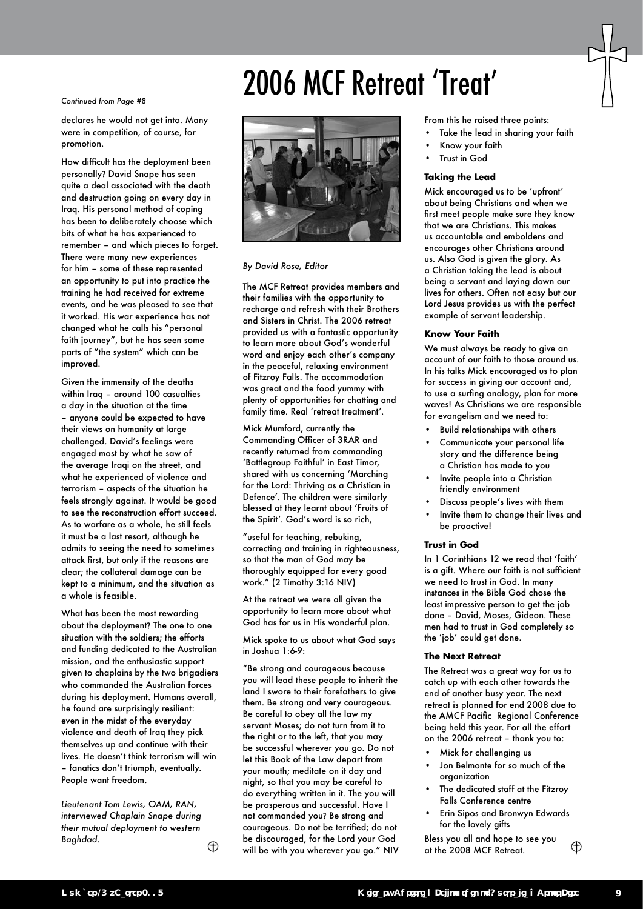#### *Continued from Page #8*

declares he would not get into. Many were in competition, of course, for promotion.

How difficult has the deployment been personally? David Snape has seen quite a deal associated with the death and destruction going on every day in Iraq. His personal method of coping has been to deliberately choose which bits of what he has experienced to remember – and which pieces to forget. There were many new experiences for him – some of these represented an opportunity to put into practice the training he had received for extreme events, and he was pleased to see that it worked. His war experience has not changed what he calls his "personal faith journey", but he has seen some parts of "the system" which can be improved.

Given the immensity of the deaths within Iraq – around 100 casualties a day in the situation at the time – anyone could be expected to have their views on humanity at large challenged. David's feelings were engaged most by what he saw of the average Iraqi on the street, and what he experienced of violence and terrorism – aspects of the situation he feels strongly against. It would be good to see the reconstruction effort succeed. As to warfare as a whole, he still feels it must be a last resort, although he admits to seeing the need to sometimes attack first, but only if the reasons are clear; the collateral damage can be kept to a minimum, and the situation as a whole is feasible.

What has been the most rewarding about the deployment? The one to one situation with the soldiers; the efforts and funding dedicated to the Australian mission, and the enthusiastic support given to chaplains by the two brigadiers who commanded the Australian forces during his deployment. Humans overall, he found are surprisingly resilient: even in the midst of the everyday violence and death of Iraq they pick themselves up and continue with their lives. He doesn't think terrorism will win – fanatics don't triumph, eventually. People want freedom.

*Lieutenant Tom Lewis, OAM, RAN, interviewed Chaplain Snape during their mutual deployment to western Baghdad.*

⊕



2006 MCF Retreat 'Treat'

#### *By David Rose, Editor*

The MCF Retreat provides members and their families with the opportunity to recharge and refresh with their Brothers and Sisters in Christ. The 2006 retreat provided us with a fantastic opportunity to learn more about God's wonderful word and enjoy each other's company in the peaceful, relaxing environment of Fitzroy Falls. The accommodation was great and the food yummy with plenty of opportunities for chatting and family time. Real 'retreat treatment'.

Mick Mumford, currently the Commanding Officer of 3RAR and recently returned from commanding 'Battlegroup Faithful' in East Timor, shared with us concerning 'Marching for the Lord: Thriving as a Christian in Defence'. The children were similarly blessed at they learnt about 'Fruits of the Spirit'. God's word is so rich,

"useful for teaching, rebuking, correcting and training in righteousness, so that the man of God may be thoroughly equipped for every good work." (2 Timothy 3:16 NIV)

At the retreat we were all given the opportunity to learn more about what God has for us in His wonderful plan.

Mick spoke to us about what God says in Joshua 1:6-9:

"Be strong and courageous because you will lead these people to inherit the land I swore to their forefathers to give them. Be strong and very courageous. Be careful to obey all the law my servant Moses; do not turn from it to the right or to the left, that you may be successful wherever you go. Do not let this Book of the Law depart from your mouth; meditate on it day and night, so that you may be careful to do everything written in it. The you will be prosperous and successful. Have I not commanded you? Be strong and courageous. Do not be terrified; do not be discouraged, for the Lord your God will be with you wherever you go." NIV From this he raised three points:

- Take the lead in sharing your faith
- Know your faith
- **Trust in God**

#### **Taking the Lead**

Mick encouraged us to be 'upfront' about being Christians and when we first meet people make sure they know that we are Christians. This makes us accountable and emboldens and encourages other Christians around us. Also God is given the glory. As a Christian taking the lead is about being a servant and laying down our lives for others. Often not easy but our Lord Jesus provides us with the perfect example of servant leadership.

#### **Know Your Faith**

We must always be ready to give an account of our faith to those around us. In his talks Mick encouraged us to plan for success in giving our account and, to use a surfing analogy, plan for more waves! As Christians we are responsible for evangelism and we need to:

- Build relationships with others
- Communicate your personal life story and the difference being a Christian has made to you
- Invite people into a Christian friendly environment
- Discuss people's lives with them
- Invite them to change their lives and be proactive!

#### **Trust in God**

In 1 Corinthians 12 we read that 'faith' is a gift. Where our faith is not sufficient we need to trust in God. In many instances in the Bible God chose the least impressive person to get the job done – David, Moses, Gideon. These men had to trust in God completely so the 'job' could get done.

#### **The Next Retreat**

The Retreat was a great way for us to catch up with each other towards the end of another busy year. The next retreat is planned for end 2008 due to the AMCF Pacific Regional Conference being held this year. For all the effort on the 2006 retreat – thank you to:

- Mick for challenging us
- Jon Belmonte for so much of the organization
- The dedicated staff at the Fitzroy Falls Conference centre
- Erin Sipos and Bronwyn Edwards for the lovely gifts

Bless you all and hope to see you at the 2008 MCF Retreat.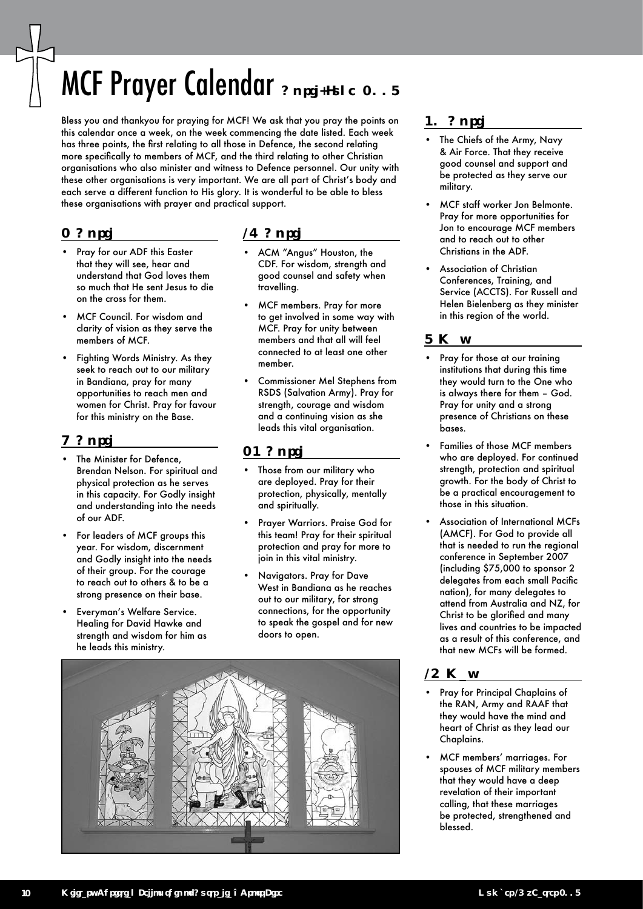# MCF Prayer Calendar April-June 2007

Bless you and thankyou for praying for MCF! We ask that you pray the points on this calendar once a week, on the week commencing the date listed. Each week has three points, the first relating to all those in Defence, the second relating more specifically to members of MCF, and the third relating to other Christian organisations who also minister and witness to Defence personnel. Our unity with these other organisations is very important. We are all part of Christ's body and each serve a different function to His glory. It is wonderful to be able to bless these organisations with prayer and practical support.

### 2 April

- Pray for our ADF this Easter that they will see, hear and understand that God loves them so much that He sent Jesus to die on the cross for them.
- MCF Council. For wisdom and clarity of vision as they serve the members of MCF.
- Fighting Words Ministry. As they seek to reach out to our military in Bandiana, pray for many opportunities to reach men and women for Christ. Pray for favour for this ministry on the Base.

### 9 April

- The Minister for Defence, Brendan Nelson. For spiritual and physical protection as he serves in this capacity. For Godly insight and understanding into the needs of our ADF.
- For leaders of MCF groups this year. For wisdom, discernment and Godly insight into the needs of their group. For the courage to reach out to others & to be a strong presence on their base.
- Everyman's Welfare Service. Healing for David Hawke and strength and wisdom for him as he leads this ministry.

### 16 April

- ACM "Angus" Houston, the CDF. For wisdom, strength and good counsel and safety when travelling.
- MCF members. Pray for more to get involved in some way with MCF. Pray for unity between members and that all will feel connected to at least one other member.
- Commissioner Mel Stephens from RSDS (Salvation Army). Pray for strength, courage and wisdom and a continuing vision as she leads this vital organisation.

### 23 April

- Those from our military who are deployed. Pray for their protection, physically, mentally and spiritually.
- Prayer Warriors. Praise God for this team! Pray for their spiritual protection and pray for more to join in this vital ministry.
- Navigators. Pray for Dave West in Bandiana as he reaches out to our military, for strong connections, for the opportunity to speak the gospel and for new doors to open.



### 30 April

- The Chiefs of the Army, Navy & Air Force. That they receive good counsel and support and be protected as they serve our military.
- MCF staff worker Jon Belmonte. Pray for more opportunities for Jon to encourage MCF members and to reach out to other Christians in the ADF.
- Association of Christian Conferences, Training, and Service (ACCTS). For Russell and Helen Bielenberg as they minister in this region of the world.

### 7 May

- Pray for those at our training institutions that during this time they would turn to the One who is always there for them – God. Pray for unity and a strong presence of Christians on these bases.
- Families of those MCF members who are deployed. For continued strength, protection and spiritual growth. For the body of Christ to be a practical encouragement to those in this situation.
- Association of International MCFs (AMCF). For God to provide all that is needed to run the regional conference in September 2007 (including \$75,000 to sponsor 2 delegates from each small Pacific nation), for many delegates to attend from Australia and NZ, for Christ to be glorified and many lives and countries to be impacted as a result of this conference, and that new MCFs will be formed.

### 14 May

- Pray for Principal Chaplains of the RAN, Army and RAAF that they would have the mind and heart of Christ as they lead our Chaplains.
- MCF members' marriages. For spouses of MCF military members that they would have a deep revelation of their important calling, that these marriages be protected, strengthened and blessed.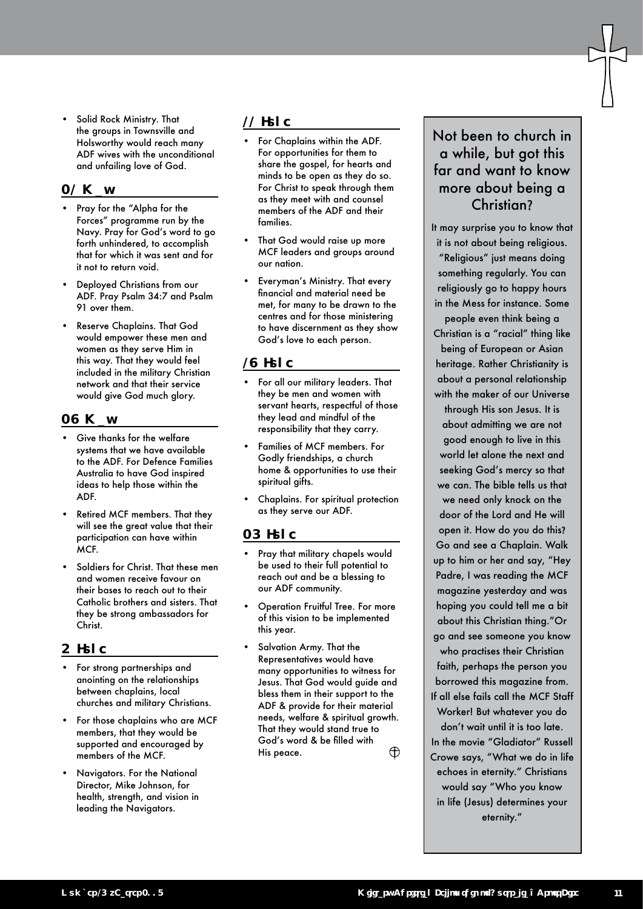Solid Rock Ministry. That the groups in Townsville and Holsworthy would reach many ADF wives with the unconditional and unfailing love of God.

#### 21 May

- Pray for the "Alpha for the Forces" programme run by the Navy. Pray for God's word to go forth unhindered, to accomplish that for which it was sent and for it not to return void.
- Deployed Christians from our ADF. Pray Psalm 34:7 and Psalm 91 over them.
- Reserve Chaplains. That God would empower these men and women as they serve Him in this way. That they would feel included in the military Christian network and that their service would give God much glory.

#### 28 May

- Give thanks for the welfare systems that we have available to the ADF. For Defence Families Australia to have God inspired ideas to help those within the ADF.
- Retired MCF members. That they will see the great value that their participation can have within MCF.
- Soldiers for Christ. That these men and women receive favour on their bases to reach out to their Catholic brothers and sisters. That they be strong ambassadors for Christ.

#### 4 June

- For strong partnerships and anointing on the relationships between chaplains, local churches and military Christians.
- For those chaplains who are MCF members, that they would be supported and encouraged by members of the MCF.
- Navigators. For the National Director, Mike Johnson, for health, strength, and vision in leading the Navigators.

#### 11 June

- For Chaplains within the ADF. For opportunities for them to share the gospel, for hearts and minds to be open as they do so. For Christ to speak through them as they meet with and counsel members of the ADF and their families.
- That God would raise up more MCF leaders and groups around our nation.
- Everyman's Ministry. That every financial and material need be met, for many to be drawn to the centres and for those ministering to have discernment as they show God's love to each person.

#### 18 June

- For all our military leaders. That they be men and women with servant hearts, respectful of those they lead and mindful of the responsibility that they carry.
- Families of MCF members. For Godly friendships, a church home & opportunities to use their spiritual gifts.
- Chaplains. For spiritual protection as they serve our ADF.

#### 25 June

- Pray that military chapels would be used to their full potential to reach out and be a blessing to our ADF community.
- Operation Fruitful Tree. For more of this vision to be implemented this year.
- Salvation Army. That the Representatives would have many opportunities to witness for Jesus. That God would guide and bless them in their support to the ADF & provide for their material needs, welfare & spiritual growth. That they would stand true to God's word & be filled with  $\bigoplus$ His peace.

### Not been to church in a while, but got this far and want to know more about being a Christian?

It may surprise you to know that it is not about being religious. "Religious" just means doing something regularly. You can religiously go to happy hours in the Mess for instance. Some people even think being a

Christian is a "racial" thing like being of European or Asian heritage. Rather Christianity is about a personal relationship with the maker of our Universe

through His son Jesus. It is about admitting we are not good enough to live in this world let alone the next and seeking God's mercy so that we can. The bible tells us that we need only knock on the door of the Lord and He will open it. How do you do this? Go and see a Chaplain. Walk up to him or her and say, "Hey Padre, I was reading the MCF magazine yesterday and was hoping you could tell me a bit about this Christian thing."Or go and see someone you know who practises their Christian faith, perhaps the person you borrowed this magazine from. If all else fails call the MCF Staff Worker! But whatever you do don't wait until it is too late. In the movie "Gladiator" Russell Crowe says, "What we do in life echoes in eternity." Christians would say "Who you know

in life (Jesus) determines your eternity."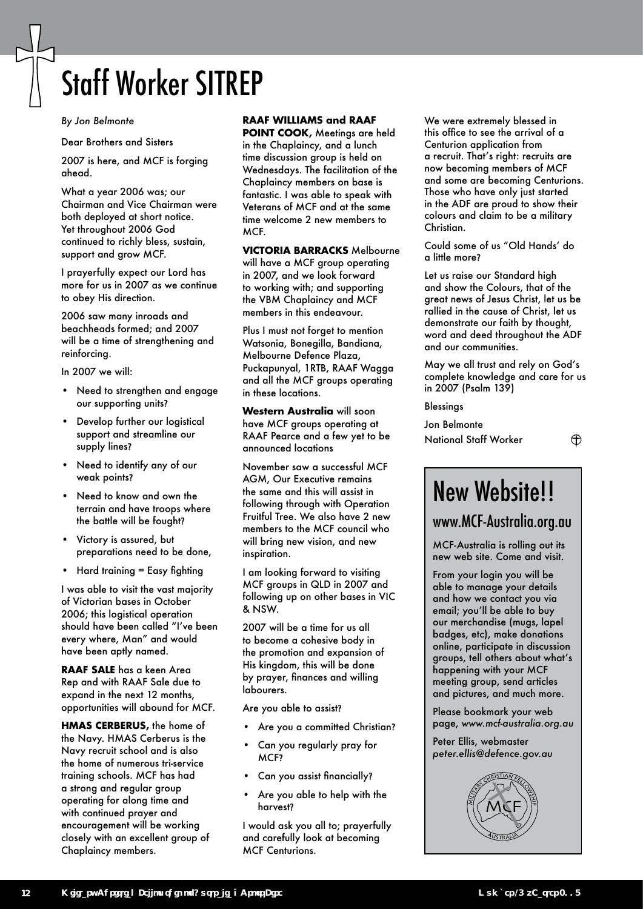# Staff Worker SITREP

*By Jon Belmonte*

Dear Brothers and Sisters

2007 is here, and MCF is forging ahead.

What a year 2006 was; our Chairman and Vice Chairman were both deployed at short notice. Yet throughout 2006 God continued to richly bless, sustain, support and grow MCF.

I prayerfully expect our Lord has more for us in 2007 as we continue to obey His direction.

2006 saw many inroads and beachheads formed; and 2007 will be a time of strengthening and reinforcing.

In 2007 we will:

- Need to strengthen and engage our supporting units?
- Develop further our logistical support and streamline our supply lines?
- Need to identify any of our weak points?
- Need to know and own the terrain and have troops where the battle will be fought?
- Victory is assured, but preparations need to be done,
- Hard training = Easy fighting

I was able to visit the vast majority of Victorian bases in October 2006; this logistical operation should have been called "I've been every where, Man" and would have been aptly named.

**RAAF SALE** has a keen Area Rep and with RAAF Sale due to expand in the next 12 months, opportunities will abound for MCF.

**HMAS CERBERUS,** the home of the Navy. HMAS Cerberus is the Navy recruit school and is also the home of numerous tri-service training schools. MCF has had a strong and regular group operating for along time and with continued prayer and encouragement will be working closely with an excellent group of Chaplaincy members.

#### **RAAF WILLIAMS and RAAF**

**POINT COOK,** Meetings are held in the Chaplaincy, and a lunch time discussion group is held on Wednesdays. The facilitation of the Chaplaincy members on base is fantastic. I was able to speak with Veterans of MCF and at the same time welcome 2 new members to **MCF.** 

**VICTORIA BARRACKS** Melbourne will have a MCF group operating in 2007, and we look forward to working with; and supporting the VBM Chaplaincy and MCF members in this endeavour.

Plus I must not forget to mention Watsonia, Bonegilla, Bandiana, Melbourne Defence Plaza, Puckapunyal, 1RTB, RAAF Wagga and all the MCF groups operating in these locations.

**Western Australia** will soon have MCF groups operating at RAAF Pearce and a few yet to be announced locations

November saw a successful MCF AGM, Our Executive remains the same and this will assist in following through with Operation Fruitful Tree. We also have 2 new members to the MCF council who will bring new vision, and new inspiration.

I am looking forward to visiting MCF groups in QLD in 2007 and following up on other bases in VIC & NSW.

2007 will be a time for us all to become a cohesive body in the promotion and expansion of His kingdom, this will be done by prayer, finances and willing labourers.

Are you able to assist?

- Are you a committed Christian?
- Can you regularly pray for MCF?
- Can you assist financially?
- Are you able to help with the harvest?

I would ask you all to; prayerfully and carefully look at becoming MCF Centurions.

We were extremely blessed in this office to see the arrival of a Centurion application from a recruit. That's right: recruits are now becoming members of MCF and some are becoming Centurions. Those who have only just started in the ADF are proud to show their colours and claim to be a military Christian.

Could some of us "Old Hands' do a little more?

Let us raise our Standard high and show the Colours, that of the great news of Jesus Christ, let us be rallied in the cause of Christ, let us demonstrate our faith by thought, word and deed throughout the ADF and our communities.

May we all trust and rely on God's complete knowledge and care for us in 2007 (Psalm 139)

#### Blessings

Jon Belmonte National Staff Worker

 $^\oplus$ 

# New Website!!

## www.MCF-Australia.org.au

MCF-Australia is rolling out its new web site. Come and visit.

From your login you will be able to manage your details and how we contact you via email; you'll be able to buy our merchandise (mugs, lapel badges, etc), make donations online, participate in discussion groups, tell others about what's happening with your MCF meeting group, send articles and pictures, and much more.

Please bookmark your web page, *www.mcf-australia.org.au*

Peter Ellis, webmaster *peter.ellis@defence.gov.au*

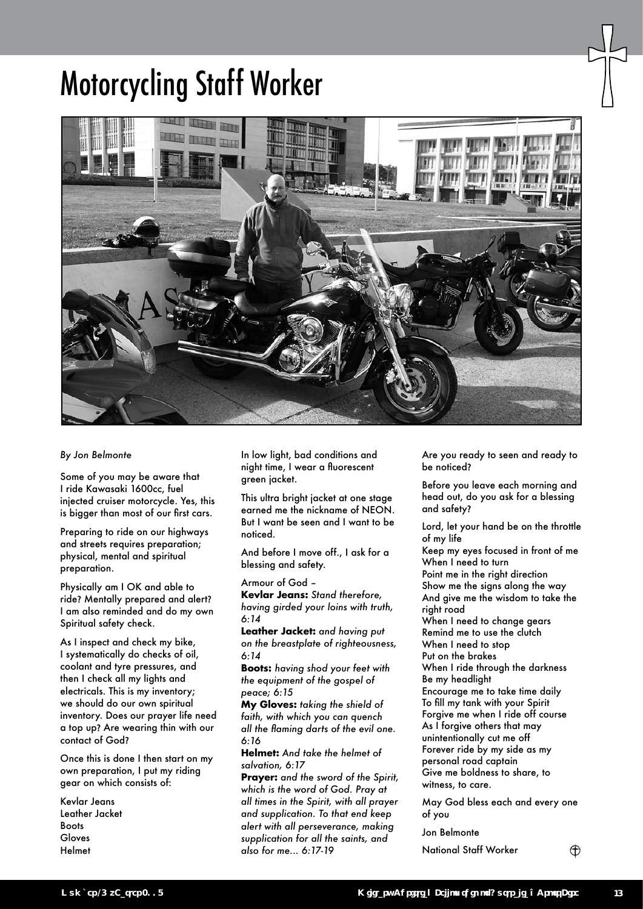# Motorcycling Staff Worker



#### *By Jon Belmonte*

Some of you may be aware that I ride Kawasaki 1600cc, fuel injected cruiser motorcycle. Yes, this is bigger than most of our first cars.

Preparing to ride on our highways and streets requires preparation; physical, mental and spiritual preparation.

Physically am I OK and able to ride? Mentally prepared and alert? I am also reminded and do my own Spiritual safety check.

As I inspect and check my bike, I systematically do checks of oil, coolant and tyre pressures, and then I check all my lights and electricals. This is my inventory; we should do our own spiritual inventory. Does our prayer life need a top up? Are wearing thin with our contact of God?

Once this is done I then start on my own preparation, I put my riding gear on which consists of:

Kevlar Jeans Leather Jacket Boots Gloves Helmet

In low light, bad conditions and night time, I wear a fluorescent green jacket.

This ultra bright jacket at one stage earned me the nickname of NEON. But I want be seen and I want to be noticed.

And before I move off., I ask for a blessing and safety.

Armour of God – **Kevlar Jeans:** *Stand therefore, having girded your loins with truth, 6:14*

**Leather Jacket:** *and having put on the breastplate of righteousness, 6:14*

**Boots:** *having shod your feet with the equipment of the gospel of peace; 6:15*

**My Gloves:** *taking the shield of faith, with which you can quench all the flaming darts of the evil one. 6:16*

**Helmet:** *And take the helmet of salvation, 6:17*

**Prayer:** *and the sword of the Spirit, which is the word of God. Pray at all times in the Spirit, with all prayer and supplication. To that end keep alert with all perseverance, making supplication for all the saints, and also for me... 6:17-19*

Are you ready to seen and ready to be noticed?

Before you leave each morning and head out, do you ask for a blessing and safety?

Lord, let your hand be on the throttle of my life

Keep my eyes focused in front of me When I need to turn Point me in the right direction

Show me the signs along the way And give me the wisdom to take the right road

When I need to change gears

Remind me to use the clutch

When I need to stop

Put on the brakes

When I ride through the darkness Be my headlight

Encourage me to take time daily To fill my tank with your Spirit Forgive me when I ride off course As I forgive others that may unintentionally cut me off Forever ride by my side as my personal road captain Give me boldness to share, to witness, to care.

May God bless each and every one of you

Jon Belmonte

National Staff Worker

 $\oplus$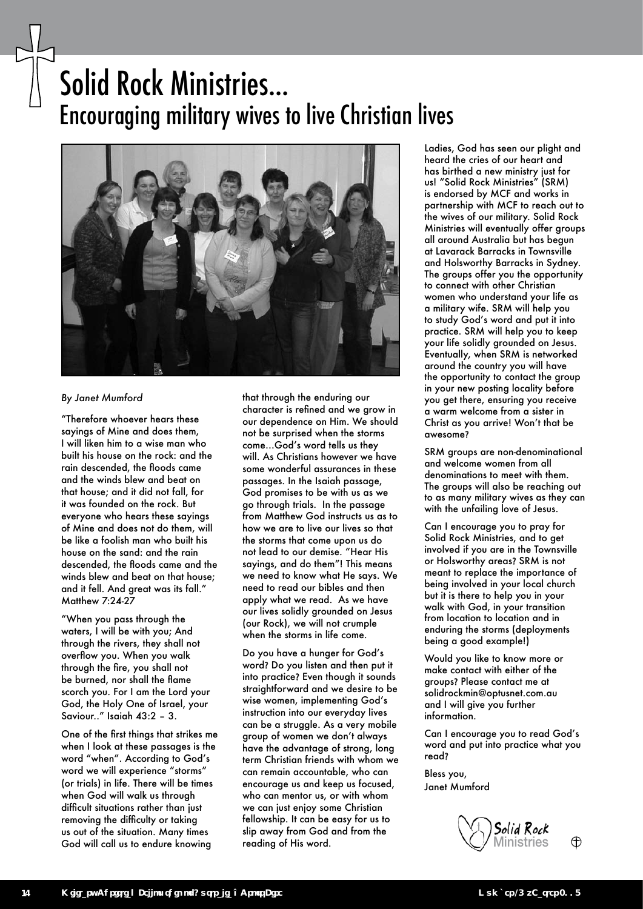# Solid Rock Ministries... Encouraging military wives to live Christian lives



#### *By Janet Mumford*

"Therefore whoever hears these sayings of Mine and does them, I will liken him to a wise man who built his house on the rock: and the rain descended, the floods came and the winds blew and beat on that house; and it did not fall, for it was founded on the rock. But everyone who hears these sayings of Mine and does not do them, will be like a foolish man who built his house on the sand: and the rain descended, the floods came and the winds blew and beat on that house; and it fell. And great was its fall." Matthew 7:24-27

"When you pass through the waters, I will be with you; And through the rivers, they shall not overflow you. When you walk through the fire, you shall not be burned, nor shall the flame scorch you. For I am the Lord your God, the Holy One of Israel, your Saviour.." Isaiah 43:2 – 3.

One of the first things that strikes me when I look at these passages is the word "when". According to God's word we will experience "storms" (or trials) in life. There will be times when God will walk us through difficult situations rather than just removing the difficulty or taking us out of the situation. Many times God will call us to endure knowing

that through the enduring our character is refined and we grow in our dependence on Him. We should not be surprised when the storms come…God's word tells us they will. As Christians however we have some wonderful assurances in these passages. In the Isaiah passage, God promises to be with us as we go through trials. In the passage from Matthew God instructs us as to how we are to live our lives so that the storms that come upon us do not lead to our demise. "Hear His sayings, and do them"! This means we need to know what He says. We need to read our bibles and then apply what we read. As we have our lives solidly grounded on Jesus (our Rock), we will not crumple when the storms in life come.

Do you have a hunger for God's word? Do you listen and then put it into practice? Even though it sounds straightforward and we desire to be wise women, implementing God's instruction into our everyday lives can be a struggle. As a very mobile group of women we don't always have the advantage of strong, long term Christian friends with whom we can remain accountable, who can encourage us and keep us focused, who can mentor us, or with whom we can just enjoy some Christian fellowship. It can be easy for us to slip away from God and from the reading of His word.

Ladies, God has seen our plight and heard the cries of our heart and has birthed a new ministry just for us! "Solid Rock Ministries" (SRM) is endorsed by MCF and works in partnership with MCF to reach out to the wives of our military. Solid Rock Ministries will eventually offer groups all around Australia but has begun at Lavarack Barracks in Townsville and Holsworthy Barracks in Sydney. The groups offer you the opportunity to connect with other Christian women who understand your life as a military wife. SRM will help you to study God's word and put it into practice. SRM will help you to keep your life solidly grounded on Jesus. Eventually, when SRM is networked around the country you will have the opportunity to contact the group in your new posting locality before you get there, ensuring you receive a warm welcome from a sister in Christ as you arrive! Won't that be awesome?

SRM groups are non-denominational and welcome women from all denominations to meet with them. The groups will also be reaching out to as many military wives as they can with the unfailing love of Jesus.

Can I encourage you to pray for Solid Rock Ministries, and to get involved if you are in the Townsville or Holsworthy areas? SRM is not meant to replace the importance of being involved in your local church but it is there to help you in your walk with God, in your transition from location to location and in enduring the storms (deployments being a good example!)

Would you like to know more or make contact with either of the groups? Please contact me at solidrockmin@optusnet.com.au and I will give you further information.

Can I encourage you to read God's word and put into practice what you read?

Bless you, Janet Mumford

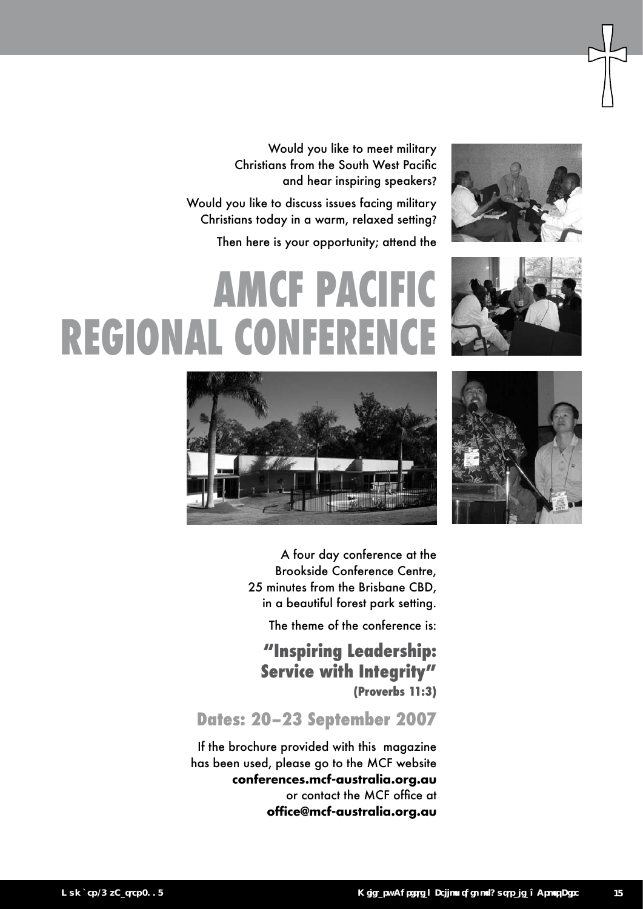Would you like to meet military Christians from the South West Pacific and hear inspiring speakers?

Would you like to discuss issues facing military Christians today in a warm, relaxed setting?

### Then here is your opportunity; attend the

# **AMCF PACIFI REGIONAL CONFI**









A four day conference at the Brookside Conference Centre, 25 minutes from the Brisbane CBD, in a beautiful forest park setting.

The theme of the conference is:

## **"Inspiring Leadership: Service with Integrity" (Proverbs 11:3)**

## **Dates: 20–23 September 2007**

If the brochure provided with this magazine has been used, please go to the MCF website **conferences.mcf-australia.org.au** or contact the MCF office at **office@mcf-australia.org.au**